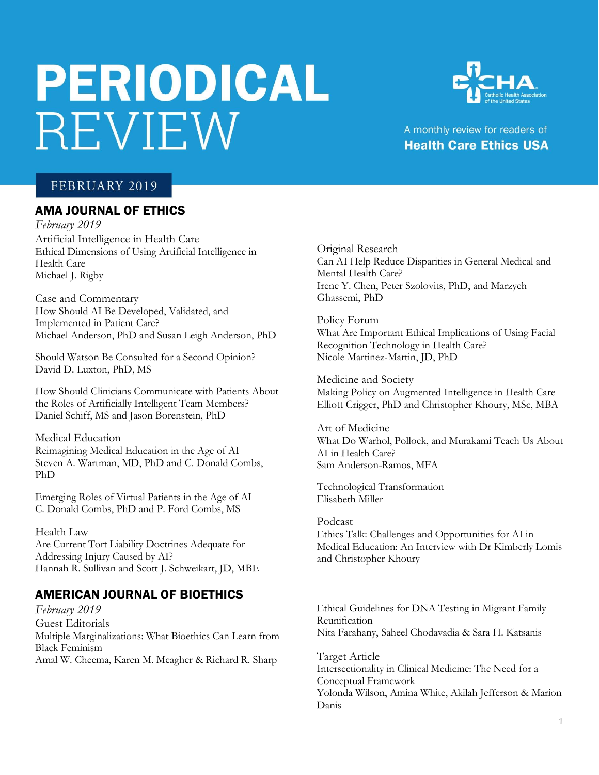# **PERIODICAL** REVIEW



## A monthly review for readers of **Health Care Ethics USA**

## FEBRUARY 2019

#### AMA JOURNAL OF ETHICS

*February 2019* Artificial Intelligence in Health Care Ethical Dimensions of Using Artificial Intelligence in Health Care Michael J. Rigby

Case and Commentary How Should AI Be Developed, Validated, and Implemented in Patient Care? Michael Anderson, PhD and Susan Leigh Anderson, PhD

Should Watson Be Consulted for a Second Opinion? David D. Luxton, PhD, MS

How Should Clinicians Communicate with Patients About the Roles of Artificially Intelligent Team Members? Daniel Schiff, MS and Jason Borenstein, PhD

Medical Education Reimagining Medical Education in the Age of AI Steven A. Wartman, MD, PhD and C. Donald Combs, PhD

Emerging Roles of Virtual Patients in the Age of AI C. Donald Combs, PhD and P. Ford Combs, MS

Health Law Are Current Tort Liability Doctrines Adequate for Addressing Injury Caused by AI? Hannah R. Sullivan and Scott J. Schweikart, JD, MBE

## AMERICAN JOURNAL OF BIOETHICS

*February 2019* Guest Editorials Multiple Marginalizations: What Bioethics Can Learn from Black Feminism Amal W. Cheema, Karen M. Meagher & Richard R. Sharp

Original Research Can AI Help Reduce Disparities in General Medical and Mental Health Care? Irene Y. Chen, Peter Szolovits, PhD, and Marzyeh Ghassemi, PhD

Policy Forum What Are Important Ethical Implications of Using Facial Recognition Technology in Health Care? Nicole Martinez-Martin, JD, PhD

Medicine and Society Making Policy on Augmented Intelligence in Health Care Elliott Crigger, PhD and Christopher Khoury, MSc, MBA

Art of Medicine What Do Warhol, Pollock, and Murakami Teach Us About AI in Health Care? Sam Anderson-Ramos, MFA

Technological Transformation Elisabeth Miller

Podcast Ethics Talk: Challenges and Opportunities for AI in Medical Education: An Interview with Dr Kimberly Lomis and Christopher Khoury

Ethical Guidelines for DNA Testing in Migrant Family Reunification Nita Farahany, Saheel Chodavadia & Sara H. Katsanis

Target Article Intersectionality in Clinical Medicine: The Need for a Conceptual Framework Yolonda Wilson, Amina White, Akilah Jefferson & Marion Danis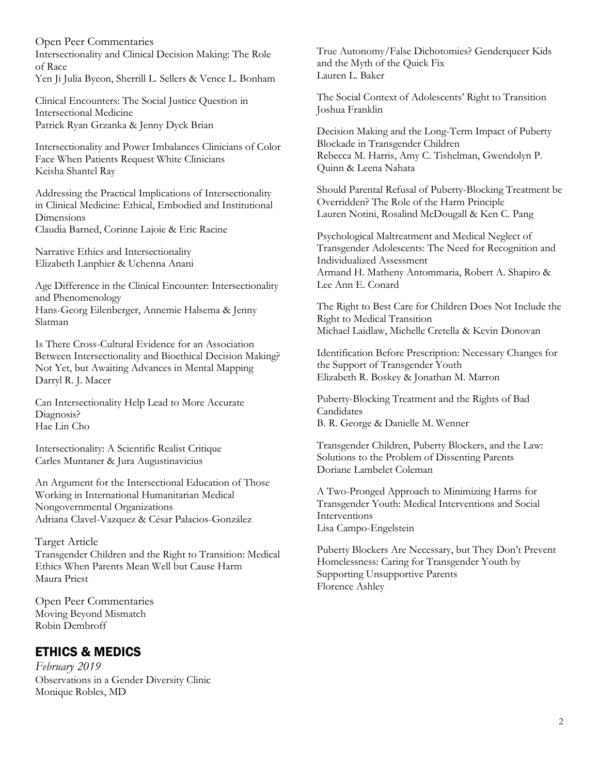Open Peer Commentaries Intersectionality and Clinical Decision Making: The Role of Race Yen Ji Julia Byeon, Sherrill L. Sellers & Vence L. Bonham

Clinical Encounters: The Social Justice Question in Intersectional Medicine Patrick Ryan Grzanka & Jenny Dyck Brian

Intersectionality and Power Imbalances Clinicians of Color Face When Patients Request White Clinicians Keisha Shantel Ray

Addressing the Practical Implications of Intersectionality in Clinical Medicine: Ethical, Embodied and Institutional **Dimensions** Claudia Barned, Corinne Lajoie & Eric Racine

Narrative Ethics and Intersectionality Elizabeth Lanphier & Uchenna Anani

Age Difference in the Clinical Encounter: Intersectionality and Phenomenology Hans-Georg Eilenberger, Annemie Halsema & Jenny Slatman

Is There Cross-Cultural Evidence for an Association Between Intersectionality and Bioethical Decision Making? Not Yet, but Awaiting Advances in Mental Mapping Darryl R. J. Macer

Can Intersectionality Help Lead to More Accurate Diagnosis? Hae Lin Cho

Intersectionality: A Scientific Realist Critique Carles Muntaner & Jura Augustinavicius

An Argument for the Intersectional Education of Those Working in International Humanitarian Medical Nongovernmental Organizations Adriana Clavel-Vazquez & César Palacios-González

Target Article Transgender Children and the Right to Transition: Medical Ethics When Parents Mean Well but Cause Harm Maura Priest

Open Peer Commentaries Moving Beyond Mismatch Robin Dembroff

# ETHICS & MEDICS

*February 2019* Observations in a Gender Diversity Clinic Monique Robles, MD

True Autonomy/False Dichotomies? Genderqueer Kids and the Myth of the Quick Fix Lauren L. Baker

The Social Context of Adolescents' Right to Transition Joshua Franklin

Decision Making and the Long-Term Impact of Puberty Blockade in Transgender Children Rebecca M. Harris, Amy C. Tishelman, Gwendolyn P. Quinn & Leena Nahata

Should Parental Refusal of Puberty-Blocking Treatment be Overridden? The Role of the Harm Principle Lauren Notini, Rosalind McDougall & Ken C. Pang

Psychological Maltreatment and Medical Neglect of Transgender Adolescents: The Need for Recognition and Individualized Assessment Armand H. Matheny Antommaria, Robert A. Shapiro & Lee Ann E. Conard

The Right to Best Care for Children Does Not Include the Right to Medical Transition Michael Laidlaw, Michelle Cretella & Kevin Donovan

Identification Before Prescription: Necessary Changes for the Support of Transgender Youth Elizabeth R. Boskey & Jonathan M. Marron

Puberty-Blocking Treatment and the Rights of Bad Candidates B. R. George & Danielle M. Wenner

Transgender Children, Puberty Blockers, and the Law: Solutions to the Problem of Dissenting Parents Doriane Lambelet Coleman

A Two-Pronged Approach to Minimizing Harms for Transgender Youth: Medical Interventions and Social Interventions Lisa Campo-Engelstein

Puberty Blockers Are Necessary, but They Don't Prevent Homelessness: Caring for Transgender Youth by Supporting Unsupportive Parents Florence Ashley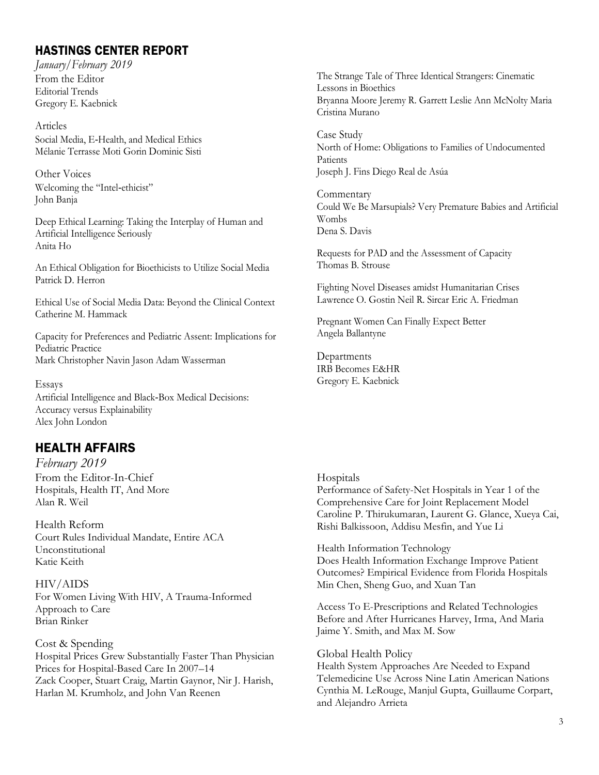## HASTINGS CENTER REPORT

*January/February 2019* From the Editor Editorial Trends Gregory E. Kaebnick

Articles Social Media, E‐Health, and Medical Ethics Mélanie Terrasse Moti Gorin Dominic Sisti

Other Voices Welcoming the "Intel-ethicist" John Banja

Deep Ethical Learning: Taking the Interplay of Human and Artificial Intelligence Seriously Anita Ho

An Ethical Obligation for Bioethicists to Utilize Social Media Patrick D. Herron

Ethical Use of Social Media Data: Beyond the Clinical Context Catherine M. Hammack

Capacity for Preferences and Pediatric Assent: Implications for Pediatric Practice Mark Christopher Navin Jason Adam Wasserman

Essays Artificial Intelligence and Black‐Box Medical Decisions: Accuracy versus Explainability Alex John London

## HEALTH AFFAIRS

*February 2019* From the Editor-In-Chief Hospitals, Health IT, And More Alan R. Weil

Health Reform Court Rules Individual Mandate, Entire ACA Unconstitutional Katie Keith

HIV/AIDS For Women Living With HIV, A Trauma-Informed Approach to Care Brian Rinker

Cost & Spending Hospital Prices Grew Substantially Faster Than Physician Prices for Hospital-Based Care In 2007–14 Zack Cooper, Stuart Craig, Martin Gaynor, Nir J. Harish, Harlan M. Krumholz, and John Van Reenen

The Strange Tale of Three Identical Strangers: Cinematic Lessons in Bioethics Bryanna Moore Jeremy R. Garrett Leslie Ann McNolty Maria Cristina Murano

Case Study North of Home: Obligations to Families of Undocumented Patients Joseph J. Fins Diego Real de Asúa

Commentary Could We Be Marsupials? Very Premature Babies and Artificial Wombs Dena S. Davis

Requests for PAD and the Assessment of Capacity Thomas B. Strouse

Fighting Novel Diseases amidst Humanitarian Crises Lawrence O. Gostin Neil R. Sircar Eric A. Friedman

Pregnant Women Can Finally Expect Better Angela Ballantyne

Departments IRB Becomes E&HR Gregory E. Kaebnick

#### **Hospitals**

Performance of Safety-Net Hospitals in Year 1 of the Comprehensive Care for Joint Replacement Model Caroline P. Thirukumaran, Laurent G. Glance, Xueya Cai, Rishi Balkissoon, Addisu Mesfin, and Yue Li

Health Information Technology Does Health Information Exchange Improve Patient Outcomes? Empirical Evidence from Florida Hospitals Min Chen, Sheng Guo, and Xuan Tan

Access To E-Prescriptions and Related Technologies Before and After Hurricanes Harvey, Irma, And Maria Jaime Y. Smith, and Max M. Sow

Global Health Policy

Health System Approaches Are Needed to Expand Telemedicine Use Across Nine Latin American Nations Cynthia M. LeRouge, Manjul Gupta, Guillaume Corpart, and Alejandro Arrieta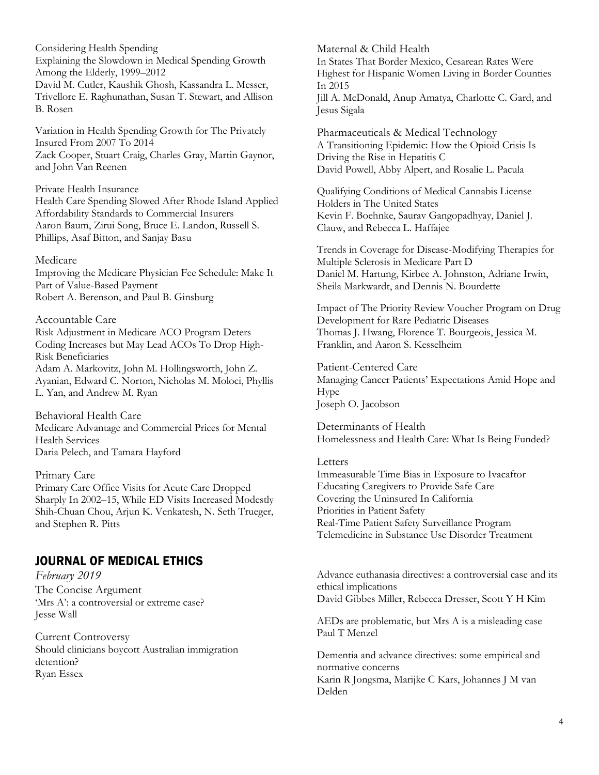Considering Health Spending Explaining the Slowdown in Medical Spending Growth Among the Elderly, 1999–2012 David M. Cutler, Kaushik Ghosh, Kassandra L. Messer, Trivellore E. Raghunathan, Susan T. Stewart, and Allison B. Rosen

Variation in Health Spending Growth for The Privately Insured From 2007 To 2014 Zack Cooper, Stuart Craig, Charles Gray, Martin Gaynor, and John Van Reenen

Private Health Insurance Health Care Spending Slowed After Rhode Island Applied Affordability Standards to Commercial Insurers Aaron Baum, Zirui Song, Bruce E. Landon, Russell S. Phillips, Asaf Bitton, and Sanjay Basu

#### Medicare

Improving the Medicare Physician Fee Schedule: Make It Part of Value-Based Payment Robert A. Berenson, and Paul B. Ginsburg

#### Accountable Care

Risk Adjustment in Medicare ACO Program Deters Coding Increases but May Lead ACOs To Drop High-Risk Beneficiaries Adam A. Markovitz, John M. Hollingsworth, John Z. Ayanian, Edward C. Norton, Nicholas M. Moloci, Phyllis L. Yan, and Andrew M. Ryan

Behavioral Health Care Medicare Advantage and Commercial Prices for Mental Health Services Daria Pelech, and Tamara Hayford

Primary Care Primary Care Office Visits for Acute Care Dropped Sharply In 2002–15, While ED Visits Increased Modestly Shih-Chuan Chou, Arjun K. Venkatesh, N. Seth Trueger, and Stephen R. Pitts

#### JOURNAL OF MEDICAL ETHICS

*February 2019* The Concise Argument 'Mrs A': a controversial or extreme case? Jesse Wall

Current Controversy Should clinicians boycott Australian immigration detention? Ryan Essex

Maternal & Child Health In States That Border Mexico, Cesarean Rates Were Highest for Hispanic Women Living in Border Counties In 2015 Jill A. McDonald, Anup Amatya, Charlotte C. Gard, and Jesus Sigala

Pharmaceuticals & Medical Technology A Transitioning Epidemic: How the Opioid Crisis Is Driving the Rise in Hepatitis C David Powell, Abby Alpert, and Rosalie L. Pacula

Qualifying Conditions of Medical Cannabis License Holders in The United States Kevin F. Boehnke, Saurav Gangopadhyay, Daniel J. Clauw, and Rebecca L. Haffajee

Trends in Coverage for Disease-Modifying Therapies for Multiple Sclerosis in Medicare Part D Daniel M. Hartung, Kirbee A. Johnston, Adriane Irwin, Sheila Markwardt, and Dennis N. Bourdette

Impact of The Priority Review Voucher Program on Drug Development for Rare Pediatric Diseases Thomas J. Hwang, Florence T. Bourgeois, Jessica M. Franklin, and Aaron S. Kesselheim

Patient-Centered Care Managing Cancer Patients' Expectations Amid Hope and Hype Joseph O. Jacobson

Determinants of Health Homelessness and Health Care: What Is Being Funded?

#### Letters

Immeasurable Time Bias in Exposure to Ivacaftor Educating Caregivers to Provide Safe Care Covering the Uninsured In California Priorities in Patient Safety Real-Time Patient Safety Surveillance Program Telemedicine in Substance Use Disorder Treatment

Advance euthanasia directives: a controversial case and its ethical implications David Gibbes Miller, Rebecca Dresser, Scott Y H Kim

AEDs are problematic, but Mrs A is a misleading case Paul T Menzel

Dementia and advance directives: some empirical and normative concerns Karin R Jongsma, Marijke C Kars, Johannes J M van Delden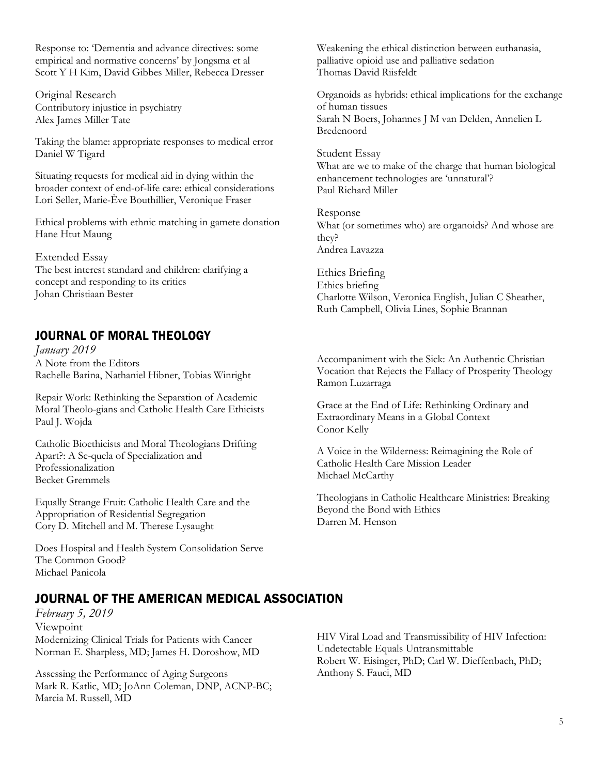Response to: 'Dementia and advance directives: some empirical and normative concerns' by Jongsma et al Scott Y H Kim, David Gibbes Miller, Rebecca Dresser

Original Research Contributory injustice in psychiatry Alex James Miller Tate

Taking the blame: appropriate responses to medical error Daniel W Tigard

Situating requests for medical aid in dying within the broader context of end-of-life care: ethical considerations Lori Seller, Marie-Ève Bouthillier, Veronique Fraser

Ethical problems with ethnic matching in gamete donation Hane Htut Maung

Extended Essay The best interest standard and children: clarifying a concept and responding to its critics Johan Christiaan Bester

#### JOURNAL OF MORAL THEOLOGY

*January 2019* A Note from the Editors Rachelle Barina, Nathaniel Hibner, Tobias Winright

Repair Work: Rethinking the Separation of Academic Moral Theolo-gians and Catholic Health Care Ethicists Paul J. Wojda

Catholic Bioethicists and Moral Theologians Drifting Apart?: A Se-quela of Specialization and Professionalization Becket Gremmels

Equally Strange Fruit: Catholic Health Care and the Appropriation of Residential Segregation Cory D. Mitchell and M. Therese Lysaught

Does Hospital and Health System Consolidation Serve The Common Good? Michael Panicola

Weakening the ethical distinction between euthanasia, palliative opioid use and palliative sedation Thomas David Riisfeldt

Organoids as hybrids: ethical implications for the exchange of human tissues Sarah N Boers, Johannes J M van Delden, Annelien L Bredenoord

Student Essay What are we to make of the charge that human biological enhancement technologies are 'unnatural'? Paul Richard Miller

Response What (or sometimes who) are organoids? And whose are they? Andrea Lavazza

Ethics Briefing Ethics briefing Charlotte Wilson, Veronica English, Julian C Sheather, Ruth Campbell, Olivia Lines, Sophie Brannan

Accompaniment with the Sick: An Authentic Christian Vocation that Rejects the Fallacy of Prosperity Theology Ramon Luzarraga

Grace at the End of Life: Rethinking Ordinary and Extraordinary Means in a Global Context Conor Kelly

A Voice in the Wilderness: Reimagining the Role of Catholic Health Care Mission Leader Michael McCarthy

Theologians in Catholic Healthcare Ministries: Breaking Beyond the Bond with Ethics Darren M. Henson

## JOURNAL OF THE AMERICAN MEDICAL ASSOCIATION

*February 5, 2019* Viewpoint Modernizing Clinical Trials for Patients with Cancer Norman E. Sharpless, MD; James H. Doroshow, MD

Assessing the Performance of Aging Surgeons Mark R. Katlic, MD; JoAnn Coleman, DNP, ACNP-BC; Marcia M. Russell, MD

HIV Viral Load and Transmissibility of HIV Infection: Undetectable Equals Untransmittable Robert W. Eisinger, PhD; Carl W. Dieffenbach, PhD; Anthony S. Fauci, MD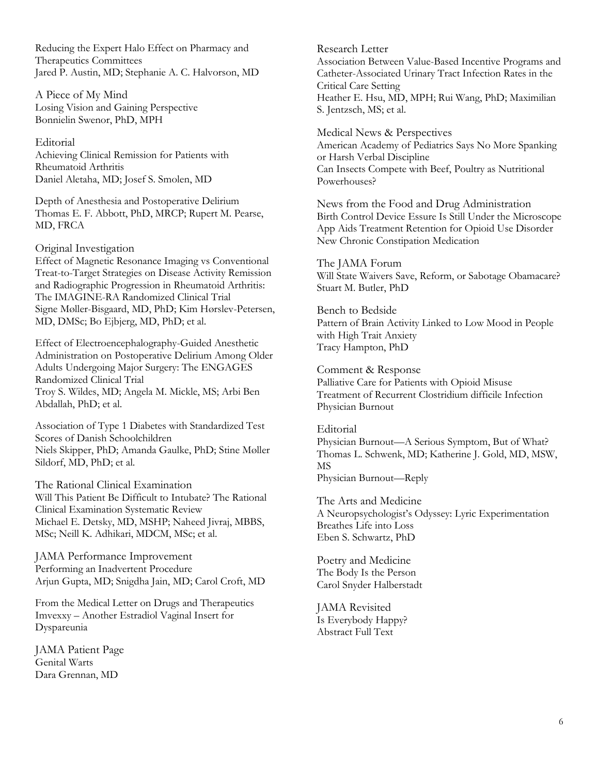Reducing the Expert Halo Effect on Pharmacy and Therapeutics Committees Jared P. Austin, MD; Stephanie A. C. Halvorson, MD

A Piece of My Mind Losing Vision and Gaining Perspective Bonnielin Swenor, PhD, MPH

Editorial Achieving Clinical Remission for Patients with Rheumatoid Arthritis Daniel Aletaha, MD; Josef S. Smolen, MD

Depth of Anesthesia and Postoperative Delirium Thomas E. F. Abbott, PhD, MRCP; Rupert M. Pearse, MD, FRCA

Original Investigation

Effect of Magnetic Resonance Imaging vs Conventional Treat-to-Target Strategies on Disease Activity Remission and Radiographic Progression in Rheumatoid Arthritis: The IMAGINE-RA Randomized Clinical Trial Signe Møller-Bisgaard, MD, PhD; Kim Hørslev-Petersen, MD, DMSc; Bo Ejbjerg, MD, PhD; et al.

Effect of Electroencephalography-Guided Anesthetic Administration on Postoperative Delirium Among Older Adults Undergoing Major Surgery: The ENGAGES Randomized Clinical Trial Troy S. Wildes, MD; Angela M. Mickle, MS; Arbi Ben Abdallah, PhD; et al.

Association of Type 1 Diabetes with Standardized Test Scores of Danish Schoolchildren Niels Skipper, PhD; Amanda Gaulke, PhD; Stine Møller Sildorf, MD, PhD; et al.

The Rational Clinical Examination Will This Patient Be Difficult to Intubate? The Rational Clinical Examination Systematic Review Michael E. Detsky, MD, MSHP; Naheed Jivraj, MBBS, MSc; Neill K. Adhikari, MDCM, MSc; et al.

JAMA Performance Improvement Performing an Inadvertent Procedure Arjun Gupta, MD; Snigdha Jain, MD; Carol Croft, MD

From the Medical Letter on Drugs and Therapeutics Imvexxy – Another Estradiol Vaginal Insert for Dyspareunia

JAMA Patient Page Genital Warts Dara Grennan, MD

Research Letter Association Between Value-Based Incentive Programs and Catheter-Associated Urinary Tract Infection Rates in the Critical Care Setting Heather E. Hsu, MD, MPH; Rui Wang, PhD; Maximilian S. Jentzsch, MS; et al.

Medical News & Perspectives American Academy of Pediatrics Says No More Spanking or Harsh Verbal Discipline Can Insects Compete with Beef, Poultry as Nutritional Powerhouses?

News from the Food and Drug Administration Birth Control Device Essure Is Still Under the Microscope App Aids Treatment Retention for Opioid Use Disorder New Chronic Constipation Medication

The JAMA Forum Will State Waivers Save, Reform, or Sabotage Obamacare? Stuart M. Butler, PhD

Bench to Bedside Pattern of Brain Activity Linked to Low Mood in People with High Trait Anxiety Tracy Hampton, PhD

Comment & Response Palliative Care for Patients with Opioid Misuse Treatment of Recurrent Clostridium difficile Infection Physician Burnout

Editorial Physician Burnout—A Serious Symptom, But of What? Thomas L. Schwenk, MD; Katherine J. Gold, MD, MSW, MS Physician Burnout—Reply

The Arts and Medicine A Neuropsychologist's Odyssey: Lyric Experimentation Breathes Life into Loss Eben S. Schwartz, PhD

Poetry and Medicine The Body Is the Person Carol Snyder Halberstadt

JAMA Revisited Is Everybody Happy? Abstract Full Text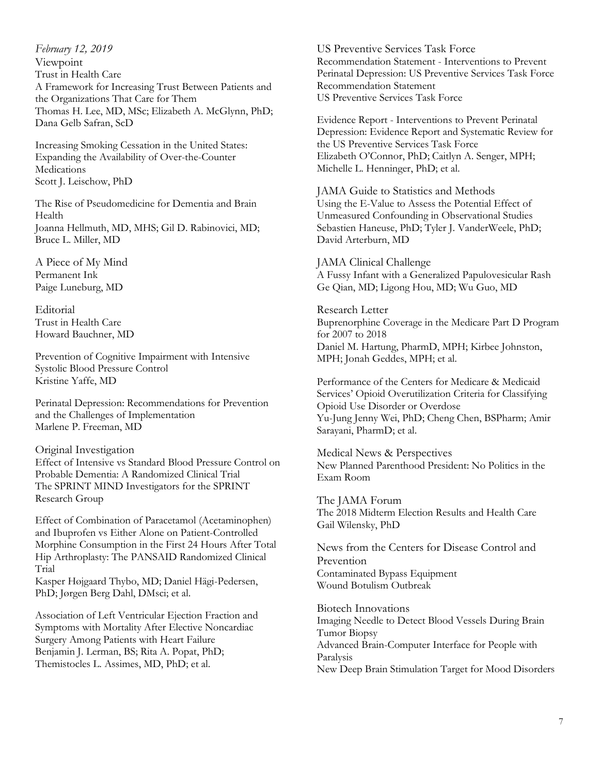*February 12, 2019* Viewpoint Trust in Health Care A Framework for Increasing Trust Between Patients and the Organizations That Care for Them Thomas H. Lee, MD, MSc; Elizabeth A. McGlynn, PhD; Dana Gelb Safran, ScD

Increasing Smoking Cessation in the United States: Expanding the Availability of Over-the-Counter **Medications** Scott J. Leischow, PhD

The Rise of Pseudomedicine for Dementia and Brain Health Joanna Hellmuth, MD, MHS; Gil D. Rabinovici, MD; Bruce L. Miller, MD

A Piece of My Mind Permanent Ink Paige Luneburg, MD

**Editorial** Trust in Health Care Howard Bauchner, MD

Prevention of Cognitive Impairment with Intensive Systolic Blood Pressure Control Kristine Yaffe, MD

Perinatal Depression: Recommendations for Prevention and the Challenges of Implementation Marlene P. Freeman, MD

Original Investigation Effect of Intensive vs Standard Blood Pressure Control on Probable Dementia: A Randomized Clinical Trial The SPRINT MIND Investigators for the SPRINT Research Group

Effect of Combination of Paracetamol (Acetaminophen) and Ibuprofen vs Either Alone on Patient-Controlled Morphine Consumption in the First 24 Hours After Total Hip Arthroplasty: The PANSAID Randomized Clinical Trial

Kasper Højgaard Thybo, MD; Daniel Hägi-Pedersen, PhD; Jørgen Berg Dahl, DMsci; et al.

Association of Left Ventricular Ejection Fraction and Symptoms with Mortality After Elective Noncardiac Surgery Among Patients with Heart Failure Benjamin J. Lerman, BS; Rita A. Popat, PhD; Themistocles L. Assimes, MD, PhD; et al.

US Preventive Services Task Force Recommendation Statement - Interventions to Prevent Perinatal Depression: US Preventive Services Task Force Recommendation Statement US Preventive Services Task Force

Evidence Report - Interventions to Prevent Perinatal Depression: Evidence Report and Systematic Review for the US Preventive Services Task Force Elizabeth O'Connor, PhD; Caitlyn A. Senger, MPH; Michelle L. Henninger, PhD; et al.

JAMA Guide to Statistics and Methods Using the E-Value to Assess the Potential Effect of Unmeasured Confounding in Observational Studies Sebastien Haneuse, PhD; Tyler J. VanderWeele, PhD; David Arterburn, MD

JAMA Clinical Challenge A Fussy Infant with a Generalized Papulovesicular Rash Ge Qian, MD; Ligong Hou, MD; Wu Guo, MD

Research Letter Buprenorphine Coverage in the Medicare Part D Program for 2007 to 2018 Daniel M. Hartung, PharmD, MPH; Kirbee Johnston, MPH; Jonah Geddes, MPH; et al.

Performance of the Centers for Medicare & Medicaid Services' Opioid Overutilization Criteria for Classifying Opioid Use Disorder or Overdose Yu-Jung Jenny Wei, PhD; Cheng Chen, BSPharm; Amir Sarayani, PharmD; et al.

Medical News & Perspectives New Planned Parenthood President: No Politics in the Exam Room

The JAMA Forum The 2018 Midterm Election Results and Health Care Gail Wilensky, PhD

News from the Centers for Disease Control and Prevention Contaminated Bypass Equipment Wound Botulism Outbreak

Biotech Innovations Imaging Needle to Detect Blood Vessels During Brain Tumor Biopsy Advanced Brain-Computer Interface for People with Paralysis New Deep Brain Stimulation Target for Mood Disorders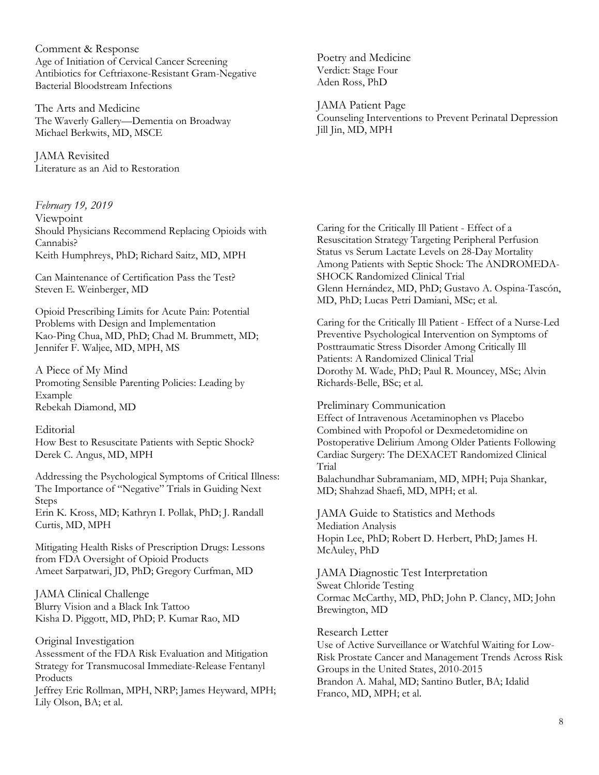Comment & Response Age of Initiation of Cervical Cancer Screening Antibiotics for Ceftriaxone-Resistant Gram-Negative Bacterial Bloodstream Infections

The Arts and Medicine The Waverly Gallery—Dementia on Broadway Michael Berkwits, MD, MSCE

JAMA Revisited Literature as an Aid to Restoration

*February 19, 2019* Viewpoint Should Physicians Recommend Replacing Opioids with Cannabis? Keith Humphreys, PhD; Richard Saitz, MD, MPH

Can Maintenance of Certification Pass the Test? Steven E. Weinberger, MD

Opioid Prescribing Limits for Acute Pain: Potential Problems with Design and Implementation Kao-Ping Chua, MD, PhD; Chad M. Brummett, MD; Jennifer F. Waljee, MD, MPH, MS

A Piece of My Mind Promoting Sensible Parenting Policies: Leading by Example Rebekah Diamond, MD

#### Editorial

How Best to Resuscitate Patients with Septic Shock? Derek C. Angus, MD, MPH

Addressing the Psychological Symptoms of Critical Illness: The Importance of "Negative" Trials in Guiding Next Steps Erin K. Kross, MD; Kathryn I. Pollak, PhD; J. Randall Curtis, MD, MPH

Mitigating Health Risks of Prescription Drugs: Lessons from FDA Oversight of Opioid Products Ameet Sarpatwari, JD, PhD; Gregory Curfman, MD

JAMA Clinical Challenge

Blurry Vision and a Black Ink Tattoo Kisha D. Piggott, MD, PhD; P. Kumar Rao, MD

Original Investigation Assessment of the FDA Risk Evaluation and Mitigation Strategy for Transmucosal Immediate-Release Fentanyl Products

Jeffrey Eric Rollman, MPH, NRP; James Heyward, MPH; Lily Olson, BA; et al.

Poetry and Medicine Verdict: Stage Four Aden Ross, PhD

JAMA Patient Page Counseling Interventions to Prevent Perinatal Depression Jill Jin, MD, MPH

Caring for the Critically Ill Patient - Effect of a Resuscitation Strategy Targeting Peripheral Perfusion Status vs Serum Lactate Levels on 28-Day Mortality Among Patients with Septic Shock: The ANDROMEDA-SHOCK Randomized Clinical Trial Glenn Hernández, MD, PhD; Gustavo A. Ospina-Tascón, MD, PhD; Lucas Petri Damiani, MSc; et al.

Caring for the Critically Ill Patient - Effect of a Nurse-Led Preventive Psychological Intervention on Symptoms of Posttraumatic Stress Disorder Among Critically Ill Patients: A Randomized Clinical Trial Dorothy M. Wade, PhD; Paul R. Mouncey, MSc; Alvin Richards-Belle, BSc; et al.

Preliminary Communication

Effect of Intravenous Acetaminophen vs Placebo Combined with Propofol or Dexmedetomidine on Postoperative Delirium Among Older Patients Following Cardiac Surgery: The DEXACET Randomized Clinical Trial

Balachundhar Subramaniam, MD, MPH; Puja Shankar, MD; Shahzad Shaefi, MD, MPH; et al.

JAMA Guide to Statistics and Methods Mediation Analysis Hopin Lee, PhD; Robert D. Herbert, PhD; James H. McAuley, PhD

JAMA Diagnostic Test Interpretation Sweat Chloride Testing Cormac McCarthy, MD, PhD; John P. Clancy, MD; John Brewington, MD

Research Letter Use of Active Surveillance or Watchful Waiting for Low-Risk Prostate Cancer and Management Trends Across Risk Groups in the United States, 2010-2015 Brandon A. Mahal, MD; Santino Butler, BA; Idalid Franco, MD, MPH; et al.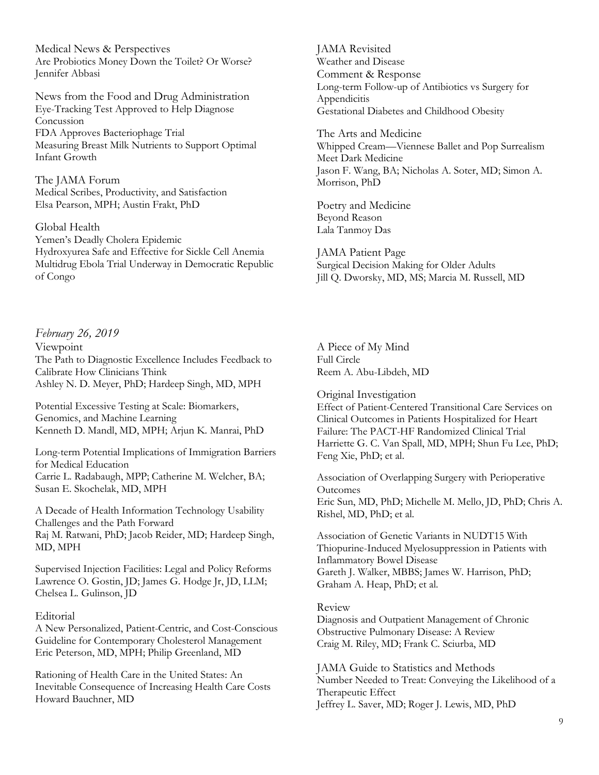Medical News & Perspectives Are Probiotics Money Down the Toilet? Or Worse? Jennifer Abbasi

News from the Food and Drug Administration Eye-Tracking Test Approved to Help Diagnose Concussion FDA Approves Bacteriophage Trial Measuring Breast Milk Nutrients to Support Optimal Infant Growth

The JAMA Forum Medical Scribes, Productivity, and Satisfaction Elsa Pearson, MPH; Austin Frakt, PhD

Global Health Yemen's Deadly Cholera Epidemic Hydroxyurea Safe and Effective for Sickle Cell Anemia Multidrug Ebola Trial Underway in Democratic Republic of Congo

*February 26, 2019* Viewpoint The Path to Diagnostic Excellence Includes Feedback to Calibrate How Clinicians Think Ashley N. D. Meyer, PhD; Hardeep Singh, MD, MPH

Potential Excessive Testing at Scale: Biomarkers, Genomics, and Machine Learning Kenneth D. Mandl, MD, MPH; Arjun K. Manrai, PhD

Long-term Potential Implications of Immigration Barriers for Medical Education Carrie L. Radabaugh, MPP; Catherine M. Welcher, BA; Susan E. Skochelak, MD, MPH

A Decade of Health Information Technology Usability Challenges and the Path Forward Raj M. Ratwani, PhD; Jacob Reider, MD; Hardeep Singh, MD, MPH

Supervised Injection Facilities: Legal and Policy Reforms Lawrence O. Gostin, JD; James G. Hodge Jr, JD, LLM; Chelsea L. Gulinson, JD

#### Editorial

A New Personalized, Patient-Centric, and Cost-Conscious Guideline for Contemporary Cholesterol Management Eric Peterson, MD, MPH; Philip Greenland, MD

Rationing of Health Care in the United States: An Inevitable Consequence of Increasing Health Care Costs Howard Bauchner, MD

JAMA Revisited Weather and Disease Comment & Response Long-term Follow-up of Antibiotics vs Surgery for Appendicitis Gestational Diabetes and Childhood Obesity

The Arts and Medicine Whipped Cream—Viennese Ballet and Pop Surrealism Meet Dark Medicine Jason F. Wang, BA; Nicholas A. Soter, MD; Simon A. Morrison, PhD

Poetry and Medicine Beyond Reason Lala Tanmoy Das

JAMA Patient Page Surgical Decision Making for Older Adults Jill Q. Dworsky, MD, MS; Marcia M. Russell, MD

A Piece of My Mind Full Circle Reem A. Abu-Libdeh, MD

Original Investigation Effect of Patient-Centered Transitional Care Services on Clinical Outcomes in Patients Hospitalized for Heart Failure: The PACT-HF Randomized Clinical Trial Harriette G. C. Van Spall, MD, MPH; Shun Fu Lee, PhD; Feng Xie, PhD; et al.

Association of Overlapping Surgery with Perioperative **Outcomes** Eric Sun, MD, PhD; Michelle M. Mello, JD, PhD; Chris A. Rishel, MD, PhD; et al.

Association of Genetic Variants in NUDT15 With Thiopurine-Induced Myelosuppression in Patients with Inflammatory Bowel Disease Gareth J. Walker, MBBS; James W. Harrison, PhD; Graham A. Heap, PhD; et al.

#### Review

Diagnosis and Outpatient Management of Chronic Obstructive Pulmonary Disease: A Review Craig M. Riley, MD; Frank C. Sciurba, MD

JAMA Guide to Statistics and Methods Number Needed to Treat: Conveying the Likelihood of a Therapeutic Effect Jeffrey L. Saver, MD; Roger J. Lewis, MD, PhD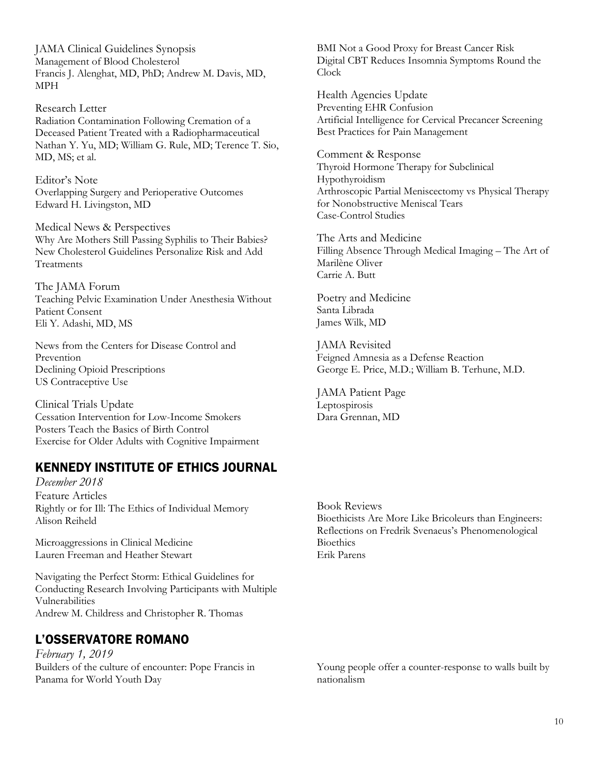JAMA Clinical Guidelines Synopsis Management of Blood Cholesterol Francis J. Alenghat, MD, PhD; Andrew M. Davis, MD, MPH

Research Letter Radiation Contamination Following Cremation of a Deceased Patient Treated with a Radiopharmaceutical Nathan Y. Yu, MD; William G. Rule, MD; Terence T. Sio, MD, MS; et al.

Editor's Note Overlapping Surgery and Perioperative Outcomes Edward H. Livingston, MD

Medical News & Perspectives Why Are Mothers Still Passing Syphilis to Their Babies? New Cholesterol Guidelines Personalize Risk and Add Treatments

The JAMA Forum Teaching Pelvic Examination Under Anesthesia Without Patient Consent Eli Y. Adashi, MD, MS

News from the Centers for Disease Control and Prevention Declining Opioid Prescriptions US Contraceptive Use

Clinical Trials Update Cessation Intervention for Low-Income Smokers Posters Teach the Basics of Birth Control Exercise for Older Adults with Cognitive Impairment

## KENNEDY INSTITUTE OF ETHICS JOURNAL

*December 2018* Feature Articles Rightly or for Ill: The Ethics of Individual Memory Alison Reiheld

Microaggressions in Clinical Medicine Lauren Freeman and Heather Stewart

Navigating the Perfect Storm: Ethical Guidelines for Conducting Research Involving Participants with Multiple Vulnerabilities Andrew M. Childress and Christopher R. Thomas

# L'OSSERVATORE ROMANO

*February 1, 2019* Builders of the culture of encounter: Pope Francis in Panama for World Youth Day

BMI Not a Good Proxy for Breast Cancer Risk Digital CBT Reduces Insomnia Symptoms Round the Clock

Health Agencies Update Preventing EHR Confusion Artificial Intelligence for Cervical Precancer Screening Best Practices for Pain Management

Comment & Response Thyroid Hormone Therapy for Subclinical Hypothyroidism Arthroscopic Partial Meniscectomy vs Physical Therapy for Nonobstructive Meniscal Tears Case-Control Studies

The Arts and Medicine Filling Absence Through Medical Imaging – The Art of Marilène Oliver Carrie A. Butt

Poetry and Medicine Santa Librada James Wilk, MD

JAMA Revisited Feigned Amnesia as a Defense Reaction George E. Price, M.D.; William B. Terhune, M.D.

JAMA Patient Page Leptospirosis Dara Grennan, MD

Book Reviews Bioethicists Are More Like Bricoleurs than Engineers: Reflections on Fredrik Svenaeus's Phenomenological **Bioethics** Erik Parens

Young people offer a counter-response to walls built by nationalism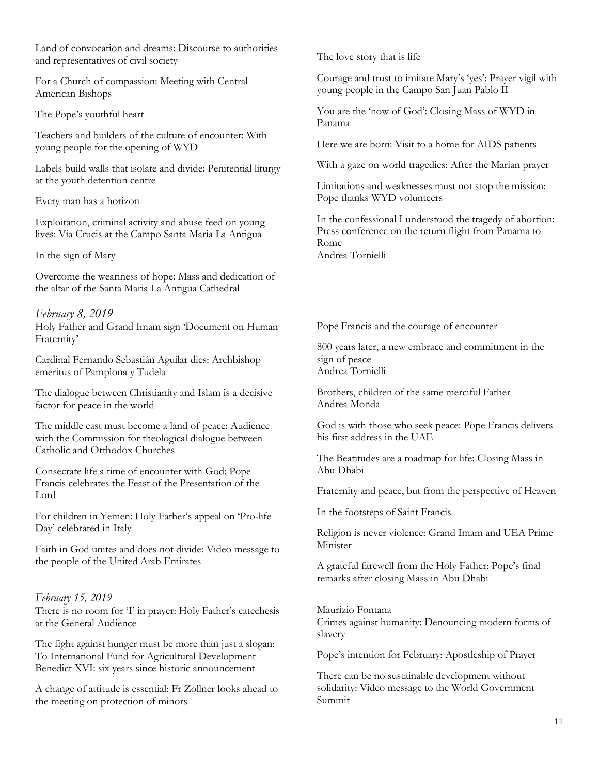Land of convocation and dreams: Discourse to authorities and representatives of civil society

For a Church of compassion: Meeting with Central American Bishops

The Pope's youthful heart

Teachers and builders of the culture of encounter: With young people for the opening of WYD

Labels build walls that isolate and divide: Penitential liturgy at the youth detention centre

Every man has a horizon

Exploitation, criminal activity and abuse feed on young lives: Via Crucis at the Campo Santa Maria La Antigua

In the sign of Mary

Overcome the weariness of hope: Mass and dedication of the altar of the Santa Maria La Antigua Cathedral

*February 8, 2019* Holy Father and Grand Imam sign 'Document on Human Fraternity'

Cardinal Fernando Sebastián Aguilar dies: Archbishop emeritus of Pamplona y Tudela

The dialogue between Christianity and Islam is a decisive factor for peace in the world

The middle east must become a land of peace: Audience with the Commission for theological dialogue between Catholic and Orthodox Churches

Consecrate life a time of encounter with God: Pope Francis celebrates the Feast of the Presentation of the Lord

For children in Yemen: Holy Father's appeal on 'Pro-life Day' celebrated in Italy

Faith in God unites and does not divide: Video message to the people of the United Arab Emirates

#### *February 15, 2019*

There is no room for 'I' in prayer: Holy Father's catechesis at the General Audience

The fight against hunger must be more than just a slogan: To International Fund for Agricultural Development Benedict XVI: six years since historic announcement

A change of attitude is essential: Fr Zollner looks ahead to the meeting on protection of minors

The love story that is life

Courage and trust to imitate Mary's 'yes': Prayer vigil with young people in the Campo San Juan Pablo II

You are the 'now of God': Closing Mass of WYD in Panama

Here we are born: Visit to a home for AIDS patients

With a gaze on world tragedies: After the Marian prayer

Limitations and weaknesses must not stop the mission: Pope thanks WYD volunteers

In the confessional I understood the tragedy of abortion: Press conference on the return flight from Panama to Rome Andrea Tornielli

Pope Francis and the courage of encounter

800 years later, a new embrace and commitment in the sign of peace Andrea Tornielli

Brothers, children of the same merciful Father Andrea Monda

God is with those who seek peace: Pope Francis delivers his first address in the UAE

The Beatitudes are a roadmap for life: Closing Mass in Abu Dhabi

Fraternity and peace, but from the perspective of Heaven

In the footsteps of Saint Francis

Religion is never violence: Grand Imam and UEA Prime Minister

A grateful farewell from the Holy Father: Pope's final remarks after closing Mass in Abu Dhabi

Maurizio Fontana Crimes against humanity: Denouncing modern forms of slavery

Pope's intention for February: Apostleship of Prayer

There can be no sustainable development without solidarity: Video message to the World Government Summit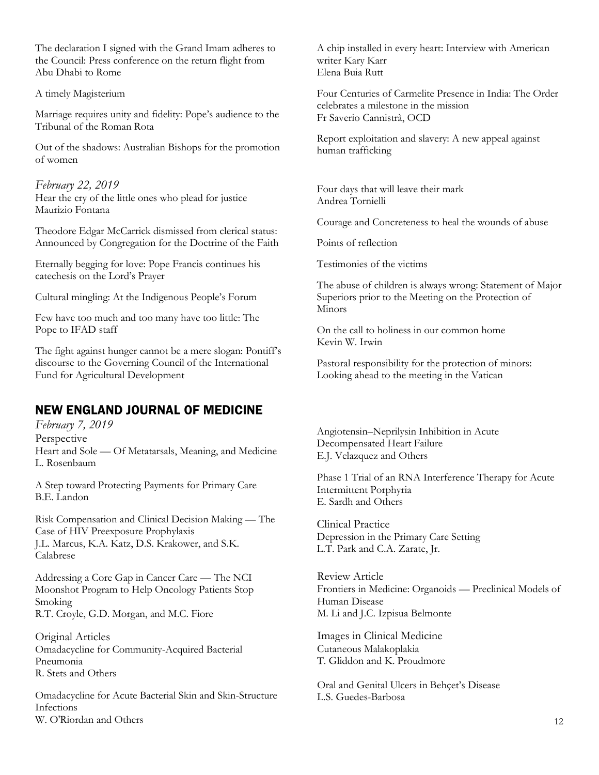The declaration I signed with the Grand Imam adheres to the Council: Press conference on the return flight from Abu Dhabi to Rome

A timely Magisterium

Marriage requires unity and fidelity: Pope's audience to the Tribunal of the Roman Rota

Out of the shadows: Australian Bishops for the promotion of women

*February 22, 2019*  Hear the cry of the little ones who plead for justice Maurizio Fontana

Theodore Edgar McCarrick dismissed from clerical status: Announced by Congregation for the Doctrine of the Faith

Eternally begging for love: Pope Francis continues his catechesis on the Lord's Prayer

Cultural mingling: At the Indigenous People's Forum

Few have too much and too many have too little: The Pope to IFAD staff

The fight against hunger cannot be a mere slogan: Pontiff's discourse to the Governing Council of the International Fund for Agricultural Development

## NEW ENGLAND JOURNAL OF MEDICINE

*February 7, 2019*  Perspective Heart and Sole — Of Metatarsals, Meaning, and Medicine L. Rosenbaum

A Step toward Protecting Payments for Primary Care B.E. Landon

Risk Compensation and Clinical Decision Making — The Case of HIV Preexposure Prophylaxis J.L. Marcus, K.A. Katz, D.S. Krakower, and S.K. Calabrese

Addressing a Core Gap in Cancer Care — The NCI Moonshot Program to Help Oncology Patients Stop Smoking R.T. Croyle, G.D. Morgan, and M.C. Fiore

Original Articles Omadacycline for Community-Acquired Bacterial Pneumonia R. Stets and Others

Omadacycline for Acute Bacterial Skin and Skin-Structure Infections W. O'Riordan and Others

A chip installed in every heart: Interview with American writer Kary Karr Elena Buia Rutt

Four Centuries of Carmelite Presence in India: The Order celebrates a milestone in the mission Fr Saverio Cannistrà, OCD

Report exploitation and slavery: A new appeal against human trafficking

Four days that will leave their mark Andrea Tornielli

Courage and Concreteness to heal the wounds of abuse

Points of reflection

Testimonies of the victims

The abuse of children is always wrong: Statement of Major Superiors prior to the Meeting on the Protection of Minors

On the call to holiness in our common home Kevin W. Irwin

Pastoral responsibility for the protection of minors: Looking ahead to the meeting in the Vatican

Angiotensin–Neprilysin Inhibition in Acute Decompensated Heart Failure E.J. Velazquez and Others

Phase 1 Trial of an RNA Interference Therapy for Acute Intermittent Porphyria E. Sardh and Others

Clinical Practice Depression in the Primary Care Setting L.T. Park and C.A. Zarate, Jr.

Review Article Frontiers in Medicine: Organoids — Preclinical Models of Human Disease M. Li and J.C. Izpisua Belmonte

Images in Clinical Medicine Cutaneous Malakoplakia T. Gliddon and K. Proudmore

Oral and Genital Ulcers in Behçet's Disease L.S. Guedes-Barbosa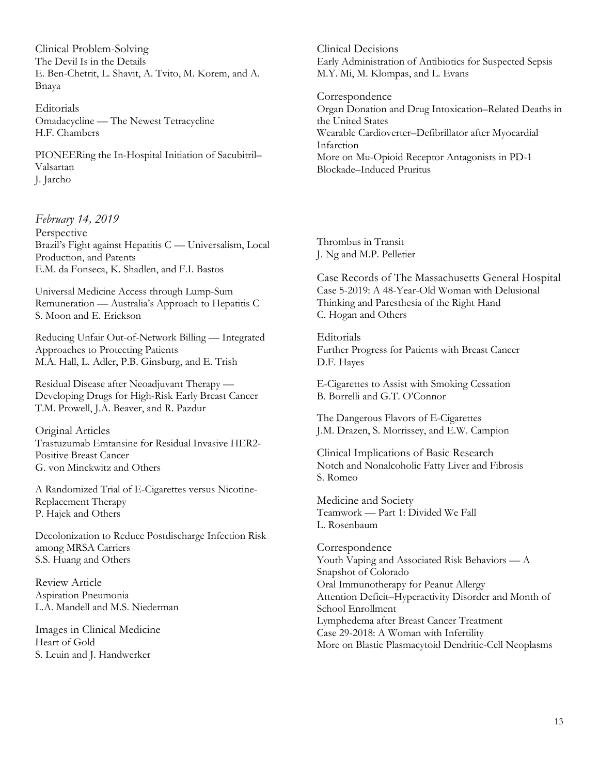Clinical Problem-Solving The Devil Is in the Details E. Ben-Chetrit, L. Shavit, A. Tvito, M. Korem, and A. Bnaya

Editorials Omadacycline — The Newest Tetracycline H.F. Chambers

PIONEERing the In-Hospital Initiation of Sacubitril– Valsartan J. Jarcho

#### *February 14, 2019*

Perspective Brazil's Fight against Hepatitis C — Universalism, Local Production, and Patents E.M. da Fonseca, K. Shadlen, and F.I. Bastos

Universal Medicine Access through Lump-Sum Remuneration — Australia's Approach to Hepatitis C S. Moon and E. Erickson

Reducing Unfair Out-of-Network Billing — Integrated Approaches to Protecting Patients M.A. Hall, L. Adler, P.B. Ginsburg, and E. Trish

Residual Disease after Neoadjuvant Therapy — Developing Drugs for High-Risk Early Breast Cancer T.M. Prowell, J.A. Beaver, and R. Pazdur

Original Articles Trastuzumab Emtansine for Residual Invasive HER2- Positive Breast Cancer G. von Minckwitz and Others

A Randomized Trial of E-Cigarettes versus Nicotine-Replacement Therapy P. Hajek and Others

Decolonization to Reduce Postdischarge Infection Risk among MRSA Carriers S.S. Huang and Others

Review Article Aspiration Pneumonia L.A. Mandell and M.S. Niederman

Images in Clinical Medicine Heart of Gold S. Leuin and J. Handwerker

Clinical Decisions Early Administration of Antibiotics for Suspected Sepsis M.Y. Mi, M. Klompas, and L. Evans

Correspondence Organ Donation and Drug Intoxication–Related Deaths in the United States Wearable Cardioverter–Defibrillator after Myocardial Infarction More on Mu-Opioid Receptor Antagonists in PD-1 Blockade–Induced Pruritus

Thrombus in Transit J. Ng and M.P. Pelletier

Case Records of The Massachusetts General Hospital Case 5-2019: A 48-Year-Old Woman with Delusional Thinking and Paresthesia of the Right Hand C. Hogan and Others

Editorials Further Progress for Patients with Breast Cancer D.F. Hayes

E-Cigarettes to Assist with Smoking Cessation B. Borrelli and G.T. O'Connor

The Dangerous Flavors of E-Cigarettes J.M. Drazen, S. Morrissey, and E.W. Campion

Clinical Implications of Basic Research Notch and Nonalcoholic Fatty Liver and Fibrosis S. Romeo

Medicine and Society Teamwork — Part 1: Divided We Fall L. Rosenbaum

Correspondence Youth Vaping and Associated Risk Behaviors — A Snapshot of Colorado Oral Immunotherapy for Peanut Allergy Attention Deficit–Hyperactivity Disorder and Month of School Enrollment Lymphedema after Breast Cancer Treatment Case 29-2018: A Woman with Infertility More on Blastic Plasmacytoid Dendritic-Cell Neoplasms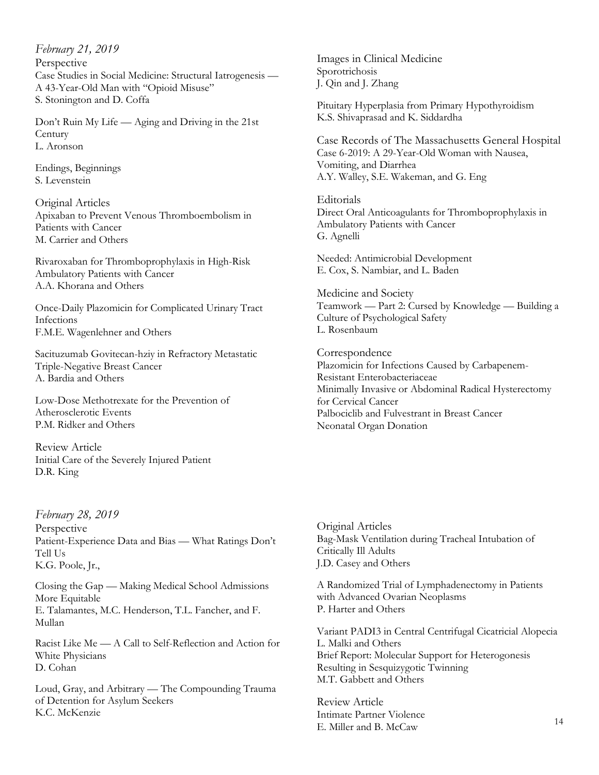*February 21, 2019*  Perspective Case Studies in Social Medicine: Structural Iatrogenesis — A 43-Year-Old Man with "Opioid Misuse" S. Stonington and D. Coffa

Don't Ruin My Life — Aging and Driving in the 21st **Century** L. Aronson

Endings, Beginnings S. Levenstein

Original Articles Apixaban to Prevent Venous Thromboembolism in Patients with Cancer M. Carrier and Others

Rivaroxaban for Thromboprophylaxis in High-Risk Ambulatory Patients with Cancer A.A. Khorana and Others

Once-Daily Plazomicin for Complicated Urinary Tract Infections F.M.E. Wagenlehner and Others

Sacituzumab Govitecan-hziy in Refractory Metastatic Triple-Negative Breast Cancer A. Bardia and Others

Low-Dose Methotrexate for the Prevention of Atherosclerotic Events P.M. Ridker and Others

Review Article Initial Care of the Severely Injured Patient D.R. King

*February 28, 2019* Perspective Patient-Experience Data and Bias — What Ratings Don't Tell Us K.G. Poole, Jr.,

Closing the Gap — Making Medical School Admissions More Equitable E. Talamantes, M.C. Henderson, T.L. Fancher, and F. Mullan

Racist Like Me — A Call to Self-Reflection and Action for White Physicians D. Cohan

Loud, Gray, and Arbitrary — The Compounding Trauma of Detention for Asylum Seekers K.C. McKenzie

Images in Clinical Medicine Sporotrichosis J. Qin and J. Zhang

Pituitary Hyperplasia from Primary Hypothyroidism K.S. Shivaprasad and K. Siddardha

Case Records of The Massachusetts General Hospital Case 6-2019: A 29-Year-Old Woman with Nausea, Vomiting, and Diarrhea A.Y. Walley, S.E. Wakeman, and G. Eng

Editorials Direct Oral Anticoagulants for Thromboprophylaxis in Ambulatory Patients with Cancer G. Agnelli

Needed: Antimicrobial Development E. Cox, S. Nambiar, and L. Baden

Medicine and Society Teamwork — Part 2: Cursed by Knowledge — Building a Culture of Psychological Safety L. Rosenbaum

Correspondence Plazomicin for Infections Caused by Carbapenem-Resistant Enterobacteriaceae Minimally Invasive or Abdominal Radical Hysterectomy for Cervical Cancer Palbociclib and Fulvestrant in Breast Cancer Neonatal Organ Donation

Original Articles Bag-Mask Ventilation during Tracheal Intubation of Critically Ill Adults J.D. Casey and Others

A Randomized Trial of Lymphadenectomy in Patients with Advanced Ovarian Neoplasms P. Harter and Others

Variant PADI3 in Central Centrifugal Cicatricial Alopecia L. Malki and Others Brief Report: Molecular Support for Heterogonesis Resulting in Sesquizygotic Twinning M.T. Gabbett and Others

Review Article Intimate Partner Violence E. Miller and B. McCaw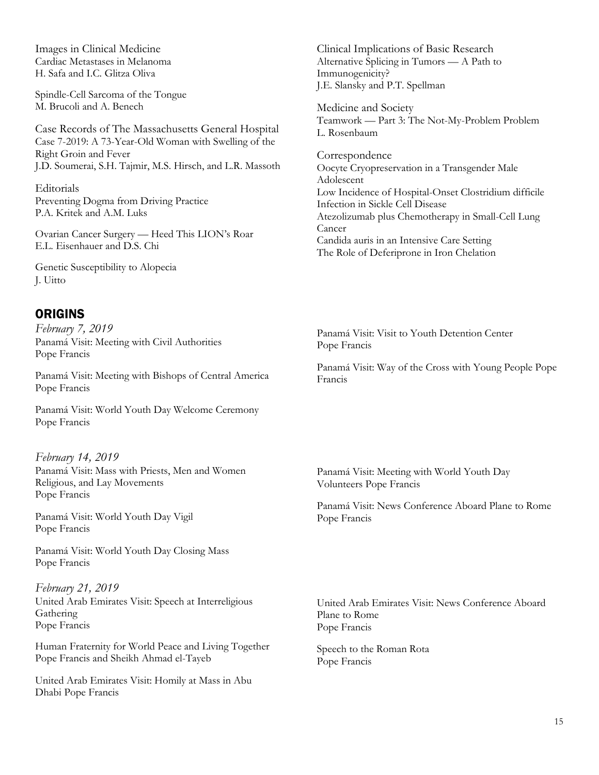Images in Clinical Medicine Cardiac Metastases in Melanoma H. Safa and I.C. Glitza Oliva

Spindle-Cell Sarcoma of the Tongue M. Brucoli and A. Benech

Case Records of The Massachusetts General Hospital Case 7-2019: A 73-Year-Old Woman with Swelling of the Right Groin and Fever J.D. Soumerai, S.H. Tajmir, M.S. Hirsch, and L.R. Massoth

Editorials Preventing Dogma from Driving Practice P.A. Kritek and A.M. Luks

Ovarian Cancer Surgery — Heed This LION's Roar E.L. Eisenhauer and D.S. Chi

Genetic Susceptibility to Alopecia J. Uitto

#### ORIGINS

*February 7, 2019*  Panamá Visit: Meeting with Civil Authorities Pope Francis

Panamá Visit: Meeting with Bishops of Central America Pope Francis

Panamá Visit: World Youth Day Welcome Ceremony Pope Francis

*February 14, 2019*  Panamá Visit: Mass with Priests, Men and Women Religious, and Lay Movements Pope Francis

Panamá Visit: World Youth Day Vigil Pope Francis

Panamá Visit: World Youth Day Closing Mass Pope Francis

*February 21, 2019*  United Arab Emirates Visit: Speech at Interreligious Gathering Pope Francis

Human Fraternity for World Peace and Living Together Pope Francis and Sheikh Ahmad el-Tayeb

United Arab Emirates Visit: Homily at Mass in Abu Dhabi Pope Francis

Clinical Implications of Basic Research Alternative Splicing in Tumors — A Path to Immunogenicity? J.E. Slansky and P.T. Spellman

Medicine and Society Teamwork — Part 3: The Not-My-Problem Problem L. Rosenbaum

Correspondence Oocyte Cryopreservation in a Transgender Male Adolescent Low Incidence of Hospital-Onset Clostridium difficile Infection in Sickle Cell Disease Atezolizumab plus Chemotherapy in Small-Cell Lung Cancer Candida auris in an Intensive Care Setting The Role of Deferiprone in Iron Chelation

Panamá Visit: Visit to Youth Detention Center Pope Francis

Panamá Visit: Way of the Cross with Young People Pope Francis

Panamá Visit: Meeting with World Youth Day Volunteers Pope Francis

Panamá Visit: News Conference Aboard Plane to Rome Pope Francis

United Arab Emirates Visit: News Conference Aboard Plane to Rome Pope Francis

Speech to the Roman Rota Pope Francis